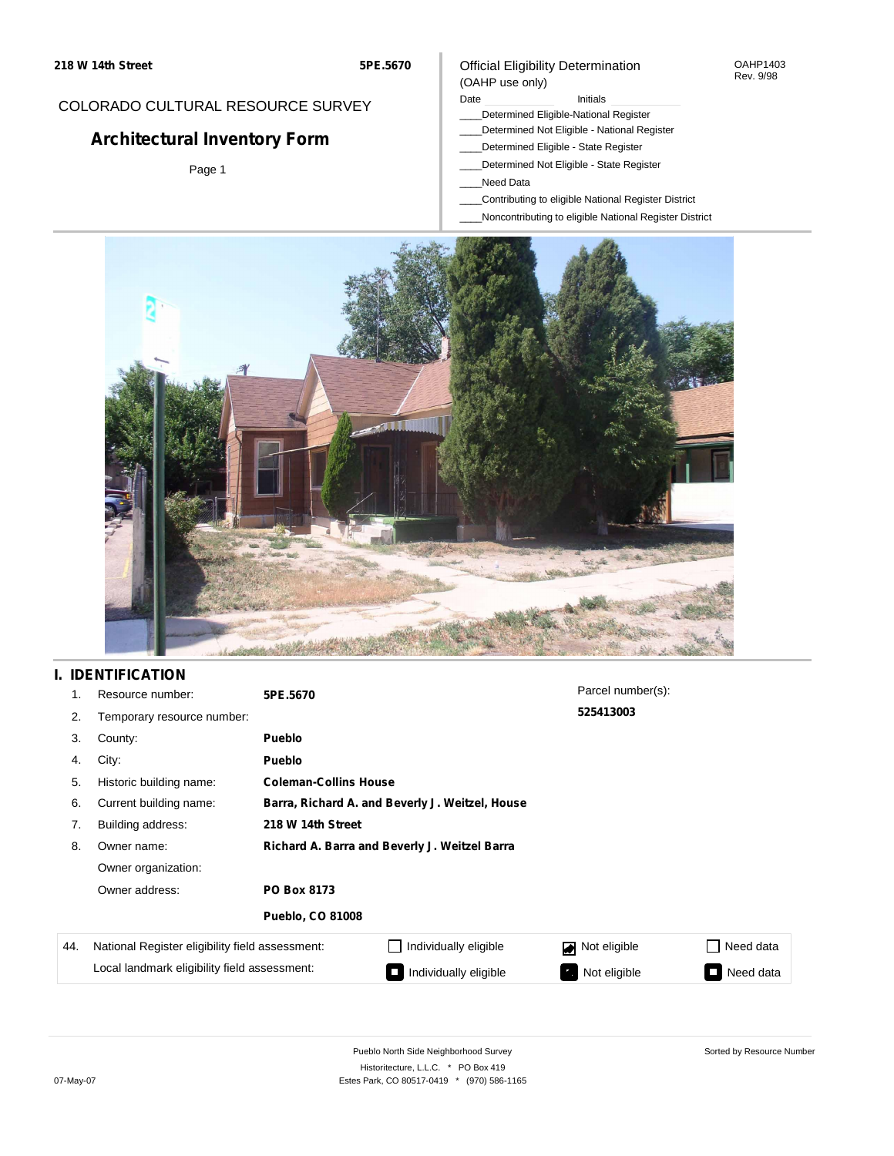## COLORADO CULTURAL RESOURCE SURVEY

# **Architectural Inventory Form**

Page 1

### Official Eligibility Determination (OAHP use only)

#### Date **Initials** Initials

- \_\_\_\_Determined Eligible-National Register
- \_\_\_\_Determined Not Eligible National Register
- \_\_\_\_Determined Eligible State Register
- \_\_\_\_Determined Not Eligible State Register
- \_\_\_\_Need Data
- \_\_\_\_Contributing to eligible National Register District
- \_\_\_\_Noncontributing to eligible National Register District



## **I. IDENTIFICATION**

| 1.  | Resource number:                                | 5PE.5670                                        |                              | Parcel number(s): |           |  |  |  |
|-----|-------------------------------------------------|-------------------------------------------------|------------------------------|-------------------|-----------|--|--|--|
| 2.  | Temporary resource number:                      |                                                 |                              | 525413003         |           |  |  |  |
| 3.  | County:                                         | <b>Pueblo</b>                                   |                              |                   |           |  |  |  |
| 4.  | City:                                           | <b>Pueblo</b>                                   |                              |                   |           |  |  |  |
| 5.  | Historic building name:                         |                                                 | <b>Coleman-Collins House</b> |                   |           |  |  |  |
| 6.  | Current building name:                          | Barra, Richard A. and Beverly J. Weitzel, House |                              |                   |           |  |  |  |
| 7.  | Building address:                               | 218 W 14th Street                               |                              |                   |           |  |  |  |
| 8.  | Owner name:                                     | Richard A. Barra and Beverly J. Weitzel Barra   |                              |                   |           |  |  |  |
|     | Owner organization:                             |                                                 |                              |                   |           |  |  |  |
|     | Owner address:                                  | PO Box 8173                                     |                              |                   |           |  |  |  |
|     |                                                 | <b>Pueblo, CO 81008</b>                         |                              |                   |           |  |  |  |
| 44. | National Register eligibility field assessment: |                                                 | Individually eligible        | Not eligible<br>◪ | Need data |  |  |  |
|     | Local landmark eligibility field assessment:    |                                                 | Individually eligible        | Not eligible      | Need data |  |  |  |

OAHP1403 Rev. 9/98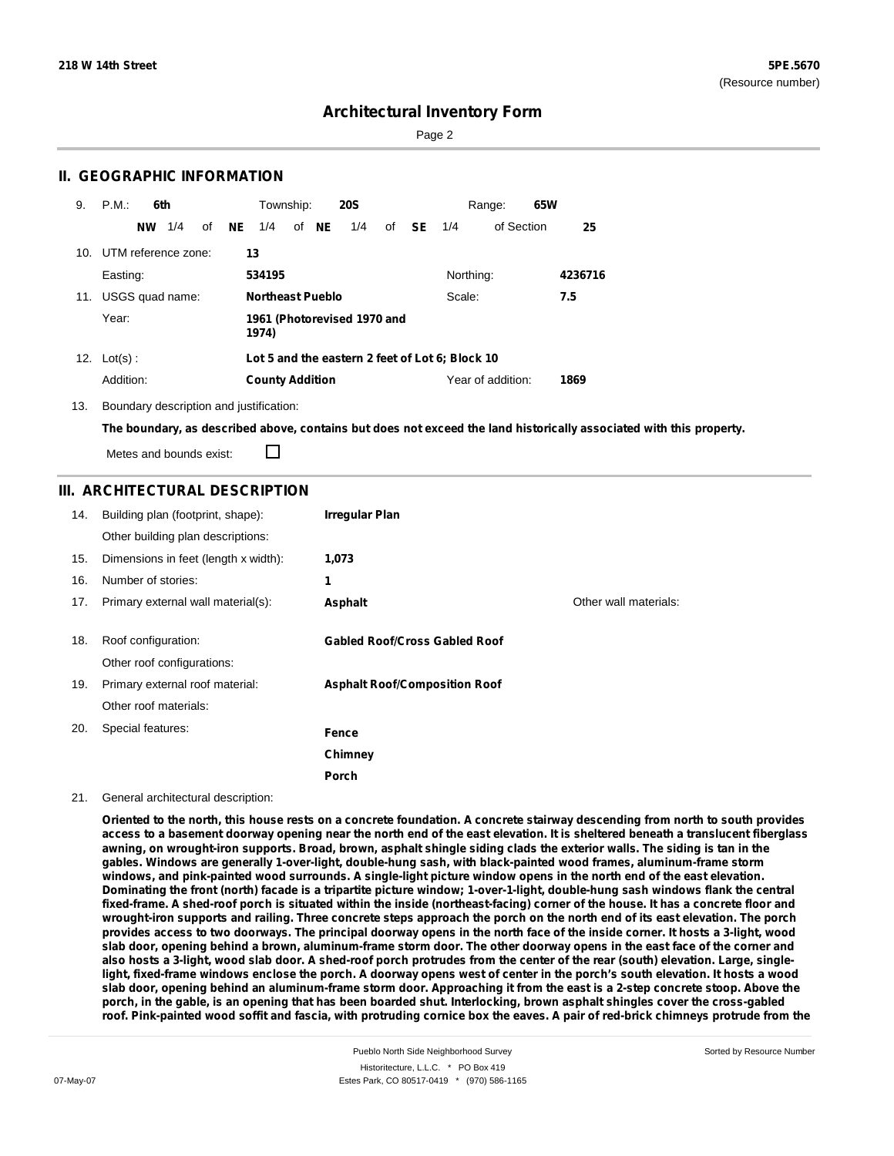Page 2

### **II. GEOGRAPHIC INFORMATION**

| 9.  | P.M.                | 6th       |                 |    |                                   | Township:                                       |  |       | <b>20S</b> |  |              |           | Range:            | 65W |         |
|-----|---------------------|-----------|-----------------|----|-----------------------------------|-------------------------------------------------|--|-------|------------|--|--------------|-----------|-------------------|-----|---------|
|     |                     | <b>NW</b> | 1/4             | of | NE                                | 1/4                                             |  | of NE | 1/4        |  | of <b>SE</b> | 1/4       | of Section        |     | 25      |
| 10. | UTM reference zone: |           |                 |    |                                   | 13                                              |  |       |            |  |              |           |                   |     |         |
|     | Easting:            |           |                 |    |                                   | 534195                                          |  |       |            |  |              | Northing: |                   |     | 4236716 |
| 11. |                     |           | USGS quad name: |    | <b>Northeast Pueblo</b><br>Scale: |                                                 |  |       |            |  | 7.5          |           |                   |     |         |
|     | Year:               |           |                 |    |                                   | 1961 (Photorevised 1970 and<br>1974)            |  |       |            |  |              |           |                   |     |         |
| 12. | $Lot(s)$ :          |           |                 |    |                                   | Lot 5 and the eastern 2 feet of Lot 6; Block 10 |  |       |            |  |              |           |                   |     |         |
|     | Addition:           |           |                 |    |                                   | <b>County Addition</b>                          |  |       |            |  |              |           | Year of addition: |     | 1869    |

13. Boundary description and justification:

The boundary, as described above, contains but does not exceed the land historically associated with this property.

П Metes and bounds exist:

### **III. ARCHITECTURAL DESCRIPTION**

| 14. | Building plan (footprint, shape):<br>Other building plan descriptions: | Irregular Plan                       |                       |
|-----|------------------------------------------------------------------------|--------------------------------------|-----------------------|
| 15. | Dimensions in feet (length x width):                                   | 1,073                                |                       |
| 16. | Number of stories:                                                     | 1                                    |                       |
| 17. | Primary external wall material(s):                                     | Asphalt                              | Other wall materials: |
|     |                                                                        |                                      |                       |
| 18. | Roof configuration:                                                    | <b>Gabled Roof/Cross Gabled Roof</b> |                       |
|     | Other roof configurations:                                             |                                      |                       |
| 19. | Primary external roof material:                                        | <b>Asphalt Roof/Composition Roof</b> |                       |
|     | Other roof materials:                                                  |                                      |                       |
| 20. | Special features:                                                      | Fence                                |                       |
|     |                                                                        | Chimney                              |                       |
|     |                                                                        | Porch                                |                       |

### 21. General architectural description:

Oriented to the north, this house rests on a concrete foundation. A concrete stairway descending from north to south provides access to a basement doorway opening near the north end of the east elevation. It is sheltered beneath a translucent fiberglass awning, on wrought-iron supports. Broad, brown, asphalt shingle siding clads the exterior walls. The siding is tan in the **gables. Windows are generally 1-over-light, double-hung sash, with black-painted wood frames, aluminum-frame storm** windows, and pink-painted wood surrounds. A single-light picture window opens in the north end of the east elevation. Dominating the front (north) facade is a tripartite picture window; 1-over-1-light, double-hung sash windows flank the central fixed-frame. A shed-roof porch is situated within the inside (northeast-facing) corner of the house. It has a concrete floor and wrought-iron supports and railing. Three concrete steps approach the porch on the north end of its east elevation. The porch provides access to two doorways. The principal doorway opens in the north face of the inside corner. It hosts a 3-light, wood slab door, opening behind a brown, aluminum-frame storm door. The other doorway opens in the east face of the corner and also hosts a 3-light, wood slab door. A shed-roof porch protrudes from the center of the rear (south) elevation. Large, singlelight, fixed-frame windows enclose the porch. A doorway opens west of center in the porch's south elevation. It hosts a wood slab door, opening behind an aluminum-frame storm door. Approaching it from the east is a 2-step concrete stoop. Above the porch, in the gable, is an opening that has been boarded shut. Interlocking, brown asphalt shingles cover the cross-gabled roof. Pink-painted wood soffit and fascia, with protruding cornice box the eaves. A pair of red-brick chimneys protrude from the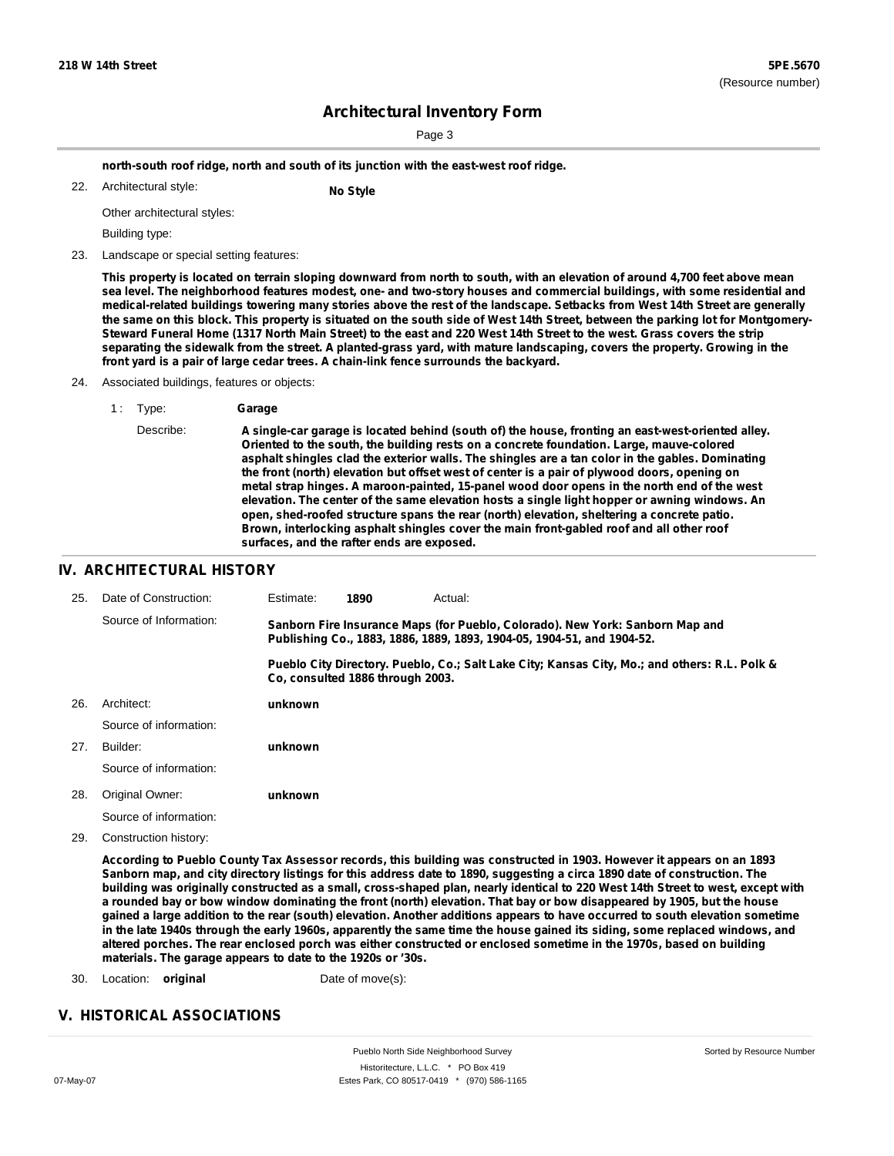Sorted by Resource Number

## **Architectural Inventory Form**

Page 3

**north-south roof ridge, north and south of its junction with the east-west roof ridge.**

Architectural style: 22. **No Style**

Other architectural styles:

Building type:

23. Landscape or special setting features:

This property is located on terrain sloping downward from north to south, with an elevation of around 4,700 feet above mean sea level. The neighborhood features modest, one- and two-story houses and commercial buildings, with some residential and medical-related buildings towering many stories above the rest of the landscape. Setbacks from West 14th Street are generally the same on this block. This property is situated on the south side of West 14th Street, between the parking lot for Montgomery-Steward Funeral Home (1317 North Main Street) to the east and 220 West 14th Street to the west. Grass covers the strip separating the sidewalk from the street. A planted-grass yard, with mature landscaping, covers the property. Growing in the **front yard is a pair of large cedar trees. A chain-link fence surrounds the backyard.**

- 24. Associated buildings, features or objects:
	- 1 : Type: **Garage**
		- Describe: **A single-car garage is located behind (south of) the house, fronting an east-west-oriented alley. Oriented to the south, the building rests on a concrete foundation. Large, mauve-colored asphalt shingles clad the exterior walls. The shingles are a tan color in the gables. Dominating the front (north) elevation but offset west of center is a pair of plywood doors, opening on metal strap hinges. A maroon-painted, 15-panel wood door opens in the north end of the west elevation. The center of the same elevation hosts a single light hopper or awning windows. An open, shed-roofed structure spans the rear (north) elevation, sheltering a concrete patio. Brown, interlocking asphalt shingles cover the main front-gabled roof and all other roof surfaces, and the rafter ends are exposed.**

### **IV. ARCHITECTURAL HISTORY**

| 25. | Date of Construction:  | Estimate:                                                                                                                                               | 1890 | Actual:                                                                                       |  |  |
|-----|------------------------|---------------------------------------------------------------------------------------------------------------------------------------------------------|------|-----------------------------------------------------------------------------------------------|--|--|
|     | Source of Information: | Sanborn Fire Insurance Maps (for Pueblo, Colorado). New York: Sanborn Map and<br>Publishing Co., 1883, 1886, 1889, 1893, 1904-05, 1904-51, and 1904-52. |      |                                                                                               |  |  |
|     |                        | Co. consulted 1886 through 2003.                                                                                                                        |      | Pueblo City Directory. Pueblo, Co.; Salt Lake City; Kansas City, Mo.; and others: R.L. Polk & |  |  |
| 26. | Architect:             | unknown                                                                                                                                                 |      |                                                                                               |  |  |
|     | Source of information: |                                                                                                                                                         |      |                                                                                               |  |  |
| 27. | Builder:               | unknown                                                                                                                                                 |      |                                                                                               |  |  |
|     | Source of information: |                                                                                                                                                         |      |                                                                                               |  |  |
| 28. | Original Owner:        | unknown                                                                                                                                                 |      |                                                                                               |  |  |
|     | Source of information: |                                                                                                                                                         |      |                                                                                               |  |  |

29. Construction history:

According to Pueblo County Tax Assessor records, this building was constructed in 1903. However it appears on an 1893 Sanborn map, and city directory listings for this address date to 1890, suggesting a circa 1890 date of construction. The building was originally constructed as a small, cross-shaped plan, nearly identical to 220 West 14th Street to west, except with a rounded bay or bow window dominating the front (north) elevation. That bay or bow disappeared by 1905, but the house gained a large addition to the rear (south) elevation. Another additions appears to have occurred to south elevation sometime in the late 1940s through the early 1960s, apparently the same time the house gained its siding, some replaced windows, and altered porches. The rear enclosed porch was either constructed or enclosed sometime in the 1970s, based on building **materials. The garage appears to date to the 1920s or '30s.**

30. Location: **original** Date of move(s):

### **V. HISTORICAL ASSOCIATIONS**

Pueblo North Side Neighborhood Survey Historitecture, L.L.C. \* PO Box 419 07-May-07 Estes Park, CO 80517-0419 \* (970) 586-1165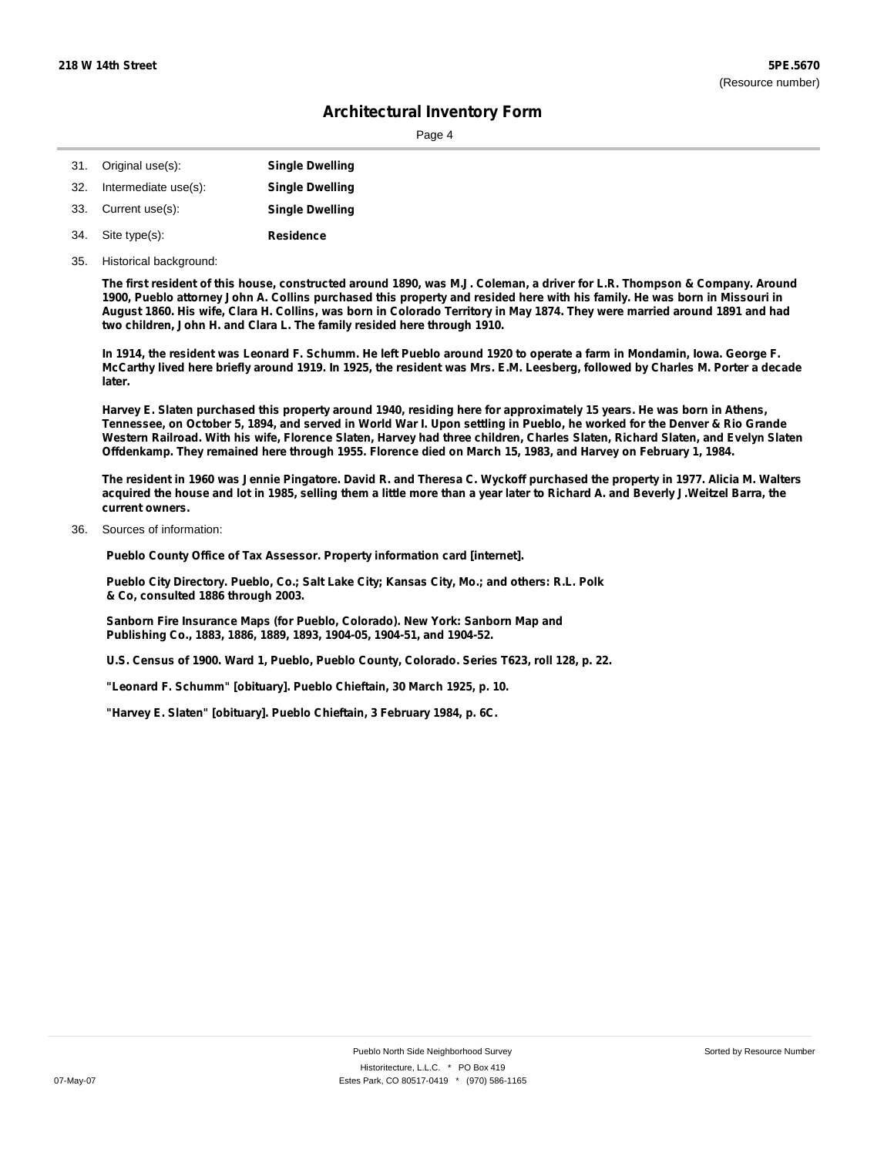Page 4

| 31. | Original use(s):     | <b>Single Dwelling</b> |
|-----|----------------------|------------------------|
| 32. | Intermediate use(s): | <b>Single Dwelling</b> |
|     | 33. Current use(s):  | <b>Single Dwelling</b> |
| 34. | Site type(s):        | <b>Residence</b>       |

35. Historical background:

The first resident of this house, constructed around 1890, was M.J. Coleman, a driver for L.R. Thompson & Company. Around 1900, Pueblo attorney John A. Collins purchased this property and resided here with his family. He was born in Missouri in August 1860. His wife, Clara H. Collins, was born in Colorado Territory in May 1874. They were married around 1891 and had **two children, John H. and Clara L. The family resided here through 1910.**

In 1914, the resident was Leonard F. Schumm. He left Pueblo around 1920 to operate a farm in Mondamin, Iowa. George F. McCarthy lived here briefly around 1919. In 1925, the resident was Mrs. E.M. Leesberg, followed by Charles M. Porter a decade **later.**

Harvey E. Slaten purchased this property around 1940, residing here for approximately 15 years. He was born in Athens, Tennessee, on October 5, 1894, and served in World War I. Upon settling in Pueblo, he worked for the Denver & Rio Grande Western Railroad. With his wife, Florence Slaten, Harvey had three children, Charles Slaten, Richard Slaten, and Evelyn Slaten Offdenkamp. They remained here through 1955. Florence died on March 15, 1983, and Harvey on February 1, 1984.

The resident in 1960 was Jennie Pingatore. David R. and Theresa C. Wyckoff purchased the property in 1977. Alicia M. Walters acquired the house and lot in 1985, selling them a little more than a year later to Richard A. and Beverly J.Weitzel Barra, the **current owners.**

Sources of information: 36.

**Pueblo County Office of Tax Assessor. Property information card [internet].**

**Pueblo City Directory. Pueblo, Co.; Salt Lake City; Kansas City, Mo.; and others: R.L. Polk & Co, consulted 1886 through 2003.**

**Sanborn Fire Insurance Maps (for Pueblo, Colorado). New York: Sanborn Map and Publishing Co., 1883, 1886, 1889, 1893, 1904-05, 1904-51, and 1904-52.**

**U.S. Census of 1900. Ward 1, Pueblo, Pueblo County, Colorado. Series T623, roll 128, p. 22.**

**"Leonard F. Schumm" [obituary]. Pueblo Chieftain, 30 March 1925, p. 10.**

**"Harvey E. Slaten" [obituary]. Pueblo Chieftain, 3 February 1984, p. 6C.**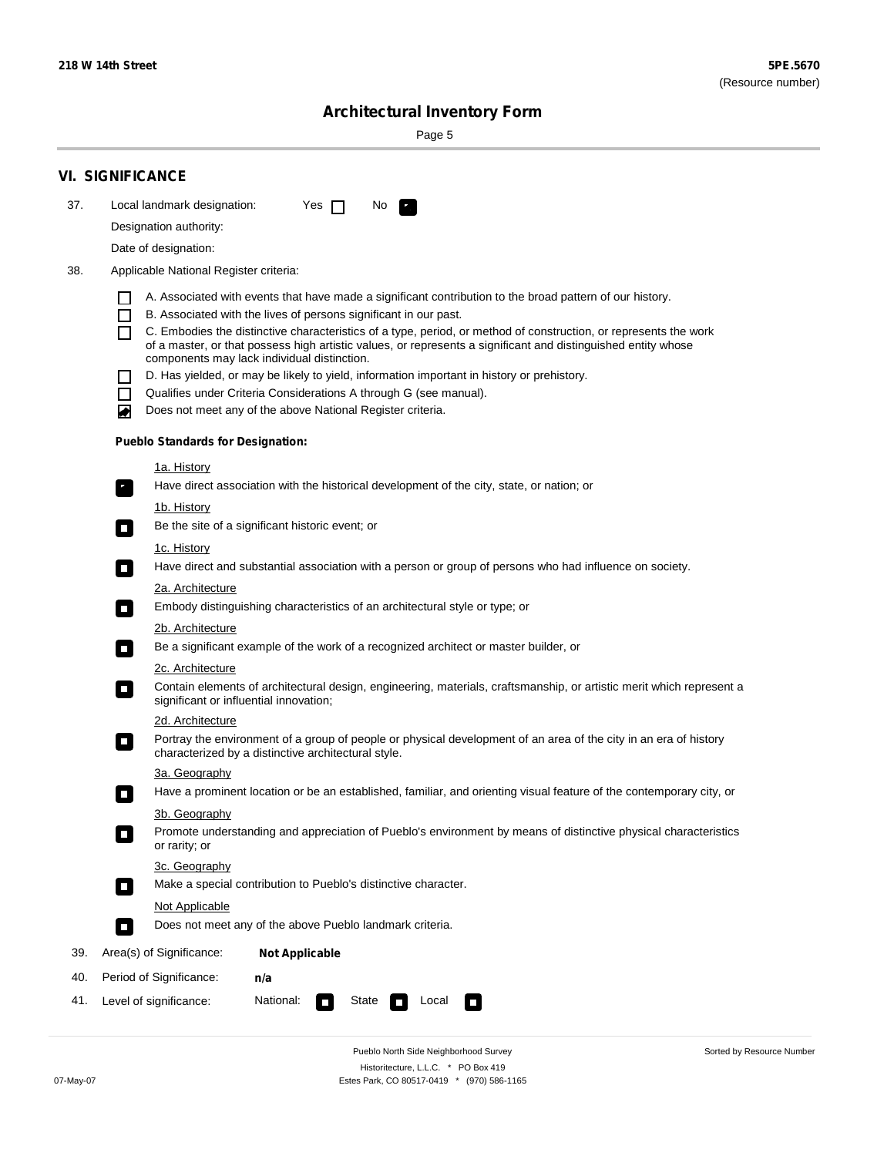Sorted by Resource Number

# **Architectural Inventory Form**

Page 5

|     | <b>VI. SIGNIFICANCE</b>                                                                                                                                                                       |
|-----|-----------------------------------------------------------------------------------------------------------------------------------------------------------------------------------------------|
| 37. | Local landmark designation:<br>Yes $\Box$<br>No.                                                                                                                                              |
|     | Designation authority:                                                                                                                                                                        |
|     | Date of designation:                                                                                                                                                                          |
| 38. | Applicable National Register criteria:                                                                                                                                                        |
|     |                                                                                                                                                                                               |
|     | A. Associated with events that have made a significant contribution to the broad pattern of our history.<br>B. Associated with the lives of persons significant in our past.<br>ΙI            |
|     | C. Embodies the distinctive characteristics of a type, period, or method of construction, or represents the work<br>П                                                                         |
|     | of a master, or that possess high artistic values, or represents a significant and distinguished entity whose<br>components may lack individual distinction.                                  |
|     | D. Has yielded, or may be likely to yield, information important in history or prehistory.                                                                                                    |
|     | Qualifies under Criteria Considerations A through G (see manual).                                                                                                                             |
|     | Does not meet any of the above National Register criteria.<br>₩                                                                                                                               |
|     | <b>Pueblo Standards for Designation:</b>                                                                                                                                                      |
|     | 1a. History                                                                                                                                                                                   |
|     | Have direct association with the historical development of the city, state, or nation; or<br>$\mathbf{r}_\perp$                                                                               |
|     | 1b. History                                                                                                                                                                                   |
|     | Be the site of a significant historic event; or<br>$\Box$                                                                                                                                     |
|     | 1c. History                                                                                                                                                                                   |
|     | Have direct and substantial association with a person or group of persons who had influence on society.<br>$\overline{\phantom{a}}$                                                           |
|     | 2a. Architecture                                                                                                                                                                              |
|     | Embody distinguishing characteristics of an architectural style or type; or<br>$\overline{\phantom{a}}$                                                                                       |
|     | 2b. Architecture                                                                                                                                                                              |
|     | Be a significant example of the work of a recognized architect or master builder, or<br>$\overline{\phantom{a}}$                                                                              |
|     | 2c. Architecture                                                                                                                                                                              |
|     | Contain elements of architectural design, engineering, materials, craftsmanship, or artistic merit which represent a<br>$\mathcal{L}_{\mathcal{A}}$<br>significant or influential innovation; |
|     | 2d. Architecture                                                                                                                                                                              |
|     | Portray the environment of a group of people or physical development of an area of the city in an era of history<br>$\Box$<br>characterized by a distinctive architectural style.             |
|     | 3a. Geography                                                                                                                                                                                 |
|     | Have a prominent location or be an established, familiar, and orienting visual feature of the contemporary city, or                                                                           |
|     | 3b. Geography                                                                                                                                                                                 |
|     | Promote understanding and appreciation of Pueblo's environment by means of distinctive physical characteristics<br>$\sim$<br>or rarity; or                                                    |
|     | 3c. Geography                                                                                                                                                                                 |
|     | Make a special contribution to Pueblo's distinctive character.<br>$\mathcal{L}_{\rm{max}}$                                                                                                    |
|     | Not Applicable                                                                                                                                                                                |
|     | Does not meet any of the above Pueblo landmark criteria.<br>$\blacksquare$                                                                                                                    |
| 39. | Area(s) of Significance:<br><b>Not Applicable</b>                                                                                                                                             |
| 40. | Period of Significance:<br>n/a                                                                                                                                                                |
| 41. | National:<br>Level of significance:<br>State<br>Local<br>$\overline{\phantom{a}}$<br>$\overline{\phantom{a}}$                                                                                 |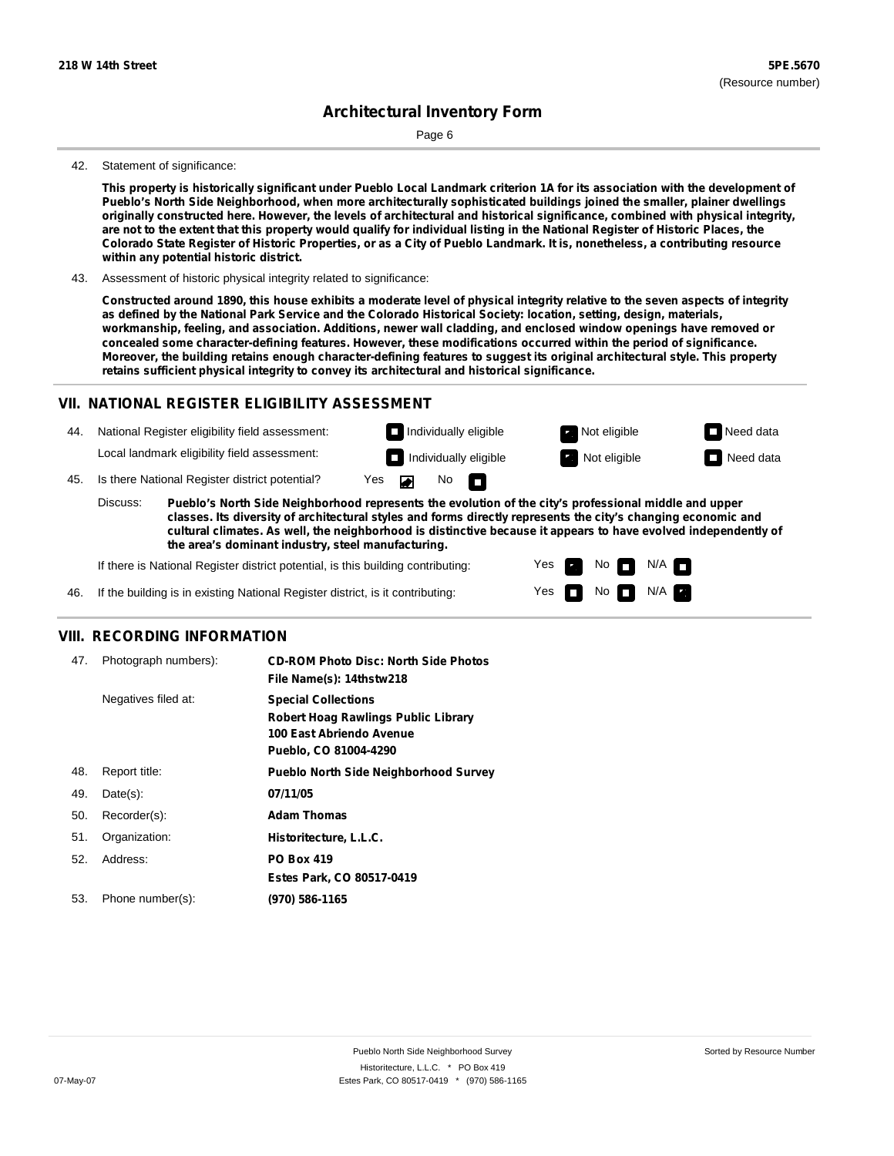Page 6

#### 42. Statement of significance:

This property is historically significant under Pueblo Local Landmark criterion 1A for its association with the development of **Pueblo's North Side Neighborhood, when more architecturally sophisticated buildings joined the smaller, plainer dwellings** originally constructed here. However, the levels of architectural and historical significance, combined with physical integrity, are not to the extent that this property would qualify for individual listing in the National Register of Historic Places, the Colorado State Register of Historic Properties, or as a City of Pueblo Landmark. It is, nonetheless, a contributing resource **within any potential historic district.**

43. Assessment of historic physical integrity related to significance:

Constructed around 1890, this house exhibits a moderate level of physical integrity relative to the seven aspects of integrity as defined by the National Park Service and the Colorado Historical Society: location, setting, design, materials, **workmanship, feeling, and association. Additions, newer wall cladding, and enclosed window openings have removed or concealed some character-defining features. However, these modifications occurred within the period of significance.** Moreover, the building retains enough character-defining features to suggest its original architectural style. This property **retains sufficient physical integrity to convey its architectural and historical significance.**

### **VII. NATIONAL REGISTER ELIGIBILITY ASSESSMENT**

National Register eligibility field assessment: 44. Local landmark eligibility field assessment:

**Individually eligible Not eligible** Not eligible **Need data Individually eligible Not eligible Not eligible Need data** 

No<sub>D</sub>

N/A

45. Is there National Register district potential? Yes

**Pueblo's North Side Neighborhood represents the evolution of the city's professional middle and upper classes. Its diversity of architectural styles and forms directly represents the city's changing economic and cultural climates. As well, the neighborhood is distinctive because it appears to have evolved independently of the area's dominant industry, steel manufacturing.** Discuss:

 $\blacksquare$ 

Yes Yes No

 $No$   $\neg$   $N/A$ 

If there is National Register district potential, is this building contributing:



### **VIII. RECORDING INFORMATION**

| 47. | Photograph numbers): | <b>CD-ROM Photo Disc: North Side Photos</b><br>File Name(s): 14thstw218                                                       |
|-----|----------------------|-------------------------------------------------------------------------------------------------------------------------------|
|     | Negatives filed at:  | <b>Special Collections</b><br><b>Robert Hoag Rawlings Public Library</b><br>100 East Abriendo Avenue<br>Pueblo, CO 81004-4290 |
| 48. | Report title:        | <b>Pueblo North Side Neighborhood Survey</b>                                                                                  |
| 49. | $Date(s)$ :          | 07/11/05                                                                                                                      |
| 50. | Recorder(s):         | <b>Adam Thomas</b>                                                                                                            |
| 51. | Organization:        | Historitecture, L.L.C.                                                                                                        |
| 52. | Address:             | <b>PO Box 419</b>                                                                                                             |
|     |                      | Estes Park, CO 80517-0419                                                                                                     |
| 53. | Phone number(s):     | (970) 586-1165                                                                                                                |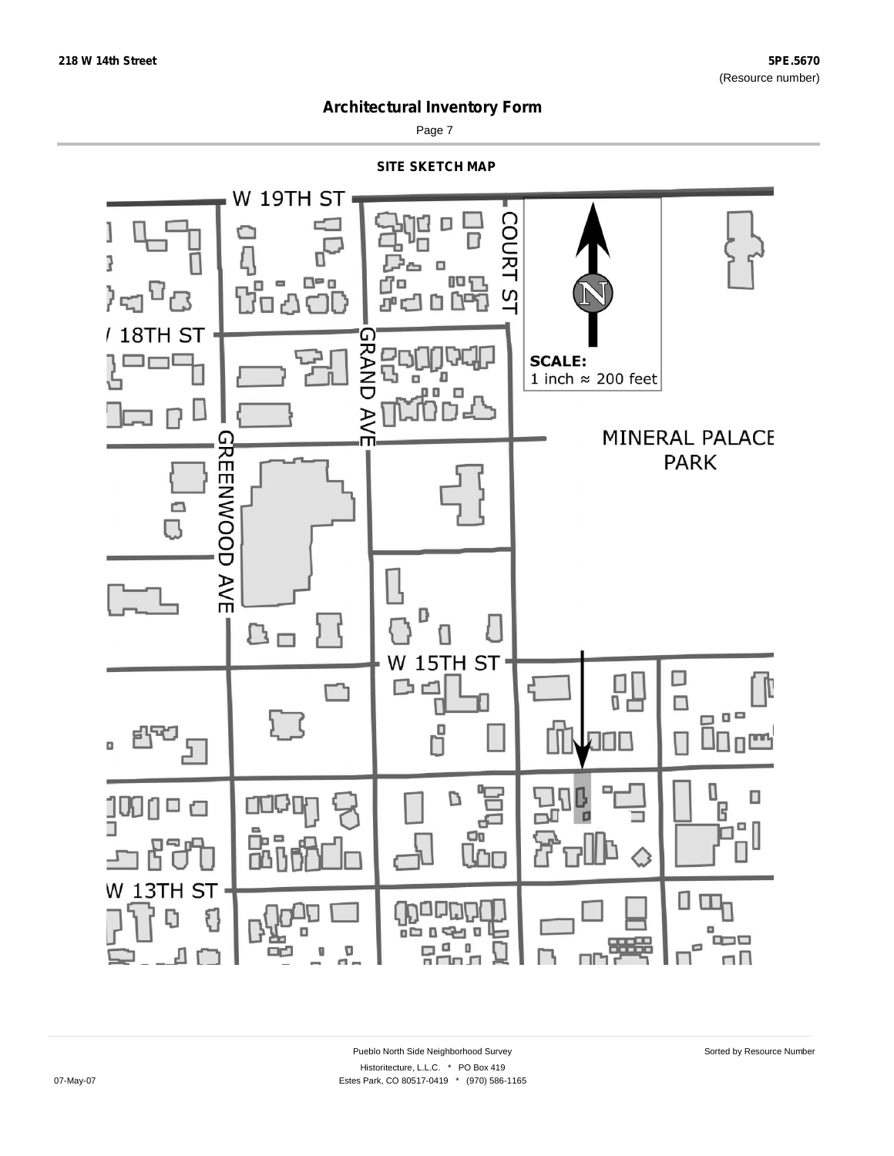

Page 7